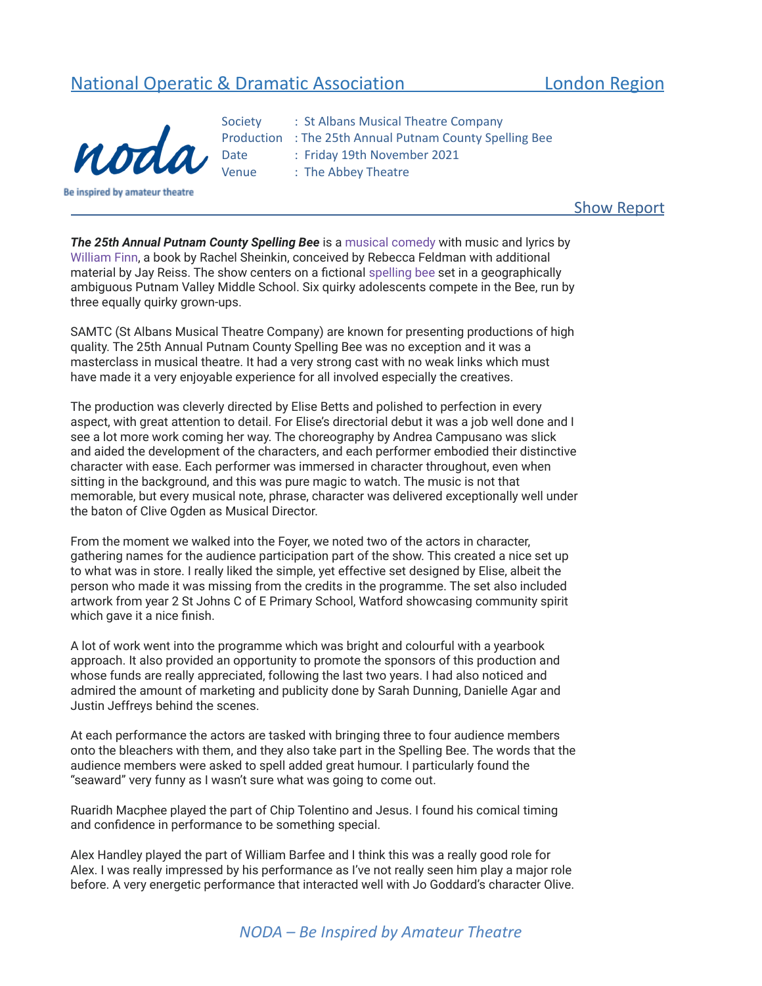## National Operatic & Dramatic Association **London Region**



- 
- Society : St Albans Musical Theatre Company Production : The 25th Annual Putnam County Spelling Bee Date : Friday 19th November 2021 Venue : The Abbey Theatre

Show Report

*The 25th Annual Putnam County Spelling Bee* is a [musical](https://en.m.wikipedia.org/wiki/Musical_theatre) [comedy](https://en.m.wikipedia.org/wiki/Comedy) with music and lyrics by [William](https://en.m.wikipedia.org/wiki/William_Finn) Finn, a book by Rachel Sheinkin, conceived by Rebecca Feldman with additional material by Jay Reiss. The show centers on a fictional [spelling](https://en.m.wikipedia.org/wiki/Spelling_bee) bee set in a geographically ambiguous Putnam Valley Middle School. Six quirky adolescents compete in the Bee, run by three equally quirky grown-ups.

SAMTC (St Albans Musical Theatre Company) are known for presenting productions of high quality. The 25th Annual Putnam County Spelling Bee was no exception and it was a masterclass in musical theatre. It had a very strong cast with no weak links which must have made it a very enjoyable experience for all involved especially the creatives.

The production was cleverly directed by Elise Betts and polished to perfection in every aspect, with great attention to detail. For Elise's directorial debut it was a job well done and I see a lot more work coming her way. The choreography by Andrea Campusano was slick and aided the development of the characters, and each performer embodied their distinctive character with ease. Each performer was immersed in character throughout, even when sitting in the background, and this was pure magic to watch. The music is not that memorable, but every musical note, phrase, character was delivered exceptionally well under the baton of Clive Ogden as Musical Director.

From the moment we walked into the Foyer, we noted two of the actors in character, gathering names for the audience participation part of the show. This created a nice set up to what was in store. I really liked the simple, yet effective set designed by Elise, albeit the person who made it was missing from the credits in the programme. The set also included artwork from year 2 St Johns C of E Primary School, Watford showcasing community spirit which gave it a nice finish.

A lot of work went into the programme which was bright and colourful with a yearbook approach. It also provided an opportunity to promote the sponsors of this production and whose funds are really appreciated, following the last two years. I had also noticed and admired the amount of marketing and publicity done by Sarah Dunning, Danielle Agar and Justin Jeffreys behind the scenes.

At each performance the actors are tasked with bringing three to four audience members onto the bleachers with them, and they also take part in the Spelling Bee. The words that the audience members were asked to spell added great humour. I particularly found the "seaward" very funny as I wasn't sure what was going to come out.

Ruaridh Macphee played the part of Chip Tolentino and Jesus. I found his comical timing and confidence in performance to be something special.

Alex Handley played the part of William Barfee and I think this was a really good role for Alex. I was really impressed by his performance as I've not really seen him play a major role before. A very energetic performance that interacted well with Jo Goddard's character Olive.